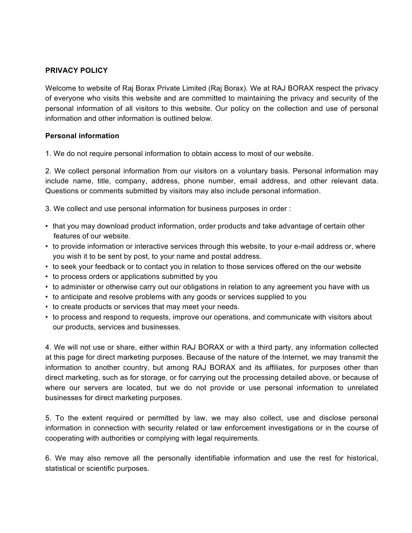# **PRIVACY POLICY**

Welcome to website of Raj Borax Private Limited (Raj Borax). We at RAJ BORAX respect the privacy of everyone who visits this website and are committed to maintaining the privacy and security of the personal information of all visitors to this website. Our policy on the collection and use of personal information and other information is outlined below.

#### **Personal information**

1. We do not require personal information to obtain access to most of our website.

2. We collect personal information from our visitors on a voluntary basis. Personal information may include name, title, company, address, phone number, email address, and other relevant data. Questions or comments submitted by visitors may also include personal information.

3. We collect and use personal information for business purposes in order :

- that you may download product information, order products and take advantage of certain other features of our website.
- to provide information or interactive services through this website, to your e-mail address or, where you wish it to be sent by post, to your name and postal address.
- to seek your feedback or to contact you in relation to those services offered on the our website
- to process orders or applications submitted by you
- to administer or otherwise carry out our obligations in relation to any agreement you have with us
- to anticipate and resolve problems with any goods or services supplied to you
- to create products or services that may meet your needs.
- to process and respond to requests, improve our operations, and communicate with visitors about our products, services and businesses.

4. We will not use or share, either within RAJ BORAX or with a third party, any information collected at this page for direct marketing purposes. Because of the nature of the Internet, we may transmit the information to another country, but among RAJ BORAX and its affiliates, for purposes other than direct marketing, such as for storage, or for carrying out the processing detailed above, or because of where our servers are located, but we do not provide or use personal information to unrelated businesses for direct marketing purposes.

5. To the extent required or permitted by law, we may also collect, use and disclose personal information in connection with security related or law enforcement investigations or in the course of cooperating with authorities or complying with legal requirements.

6. We may also remove all the personally identifiable information and use the rest for historical, statistical or scientific purposes.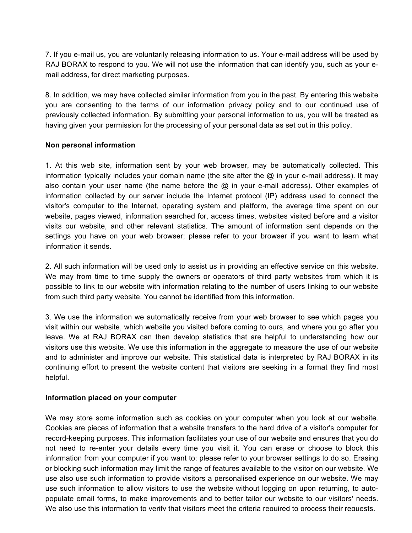7. If you e-mail us, you are voluntarily releasing information to us. Your e-mail address will be used by RAJ BORAX to respond to you. We will not use the information that can identify you, such as your email address, for direct marketing purposes.

8. In addition, we may have collected similar information from you in the past. By entering this website you are consenting to the terms of our information privacy policy and to our continued use of previously collected information. By submitting your personal information to us, you will be treated as having given your permission for the processing of your personal data as set out in this policy.

#### **Non personal information**

1. At this web site, information sent by your web browser, may be automatically collected. This information typically includes your domain name (the site after the @ in your e-mail address). It may also contain your user name (the name before the  $@$  in your e-mail address). Other examples of information collected by our server include the Internet protocol (IP) address used to connect the visitor's computer to the Internet, operating system and platform, the average time spent on our website, pages viewed, information searched for, access times, websites visited before and a visitor visits our website, and other relevant statistics. The amount of information sent depends on the settings you have on your web browser; please refer to your browser if you want to learn what information it sends.

2. All such information will be used only to assist us in providing an effective service on this website. We may from time to time supply the owners or operators of third party websites from which it is possible to link to our website with information relating to the number of users linking to our website from such third party website. You cannot be identified from this information.

3. We use the information we automatically receive from your web browser to see which pages you visit within our website, which website you visited before coming to ours, and where you go after you leave. We at RAJ BORAX can then develop statistics that are helpful to understanding how our visitors use this website. We use this information in the aggregate to measure the use of our website and to administer and improve our website. This statistical data is interpreted by RAJ BORAX in its continuing effort to present the website content that visitors are seeking in a format they find most helpful.

### **Information placed on your computer**

We may store some information such as cookies on your computer when you look at our website. Cookies are pieces of information that a website transfers to the hard drive of a visitor's computer for record-keeping purposes. This information facilitates your use of our website and ensures that you do not need to re-enter your details every time you visit it. You can erase or choose to block this information from your computer if you want to; please refer to your browser settings to do so. Erasing or blocking such information may limit the range of features available to the visitor on our website. We use also use such information to provide visitors a personalised experience on our website. We may use such information to allow visitors to use the website without logging on upon returning, to autopopulate email forms, to make improvements and to better tailor our website to our visitors' needs. We also use this information to verify that visitors meet the criteria required to process their requests.